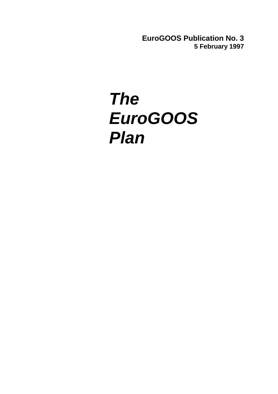**EuroGOOS Publication No. 3 5 February 1997**

# *The EuroGOOS Plan*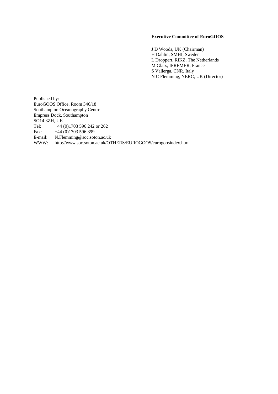#### **Executive Committee of EuroGOOS**

J D Woods, UK (Chairman) H Dahlin, SMHI, Sweden L Droppert, RIKZ, The Netherlands M Glass, IFREMER, France S Vallerga, CNR, Italy N C Flemming, NERC, UK (Director)

Published by: EuroGOOS Office, Room 346/18 Southampton Oceanography Centre Empress Dock, Southampton SO14 3ZH, UK Tel: +44 (0)1703 596 242 or 262 Fax: +44 (0)1703 596 399<br>E-mail: N.Flemming@soc.sot E-mail: N.Flemming@soc.soton.ac.uk<br>WWW: http://www.soc.soton.ac.uk/OT WWW: http://www.soc.soton.ac.uk/OTHERS/EUROGOOS/eurogoosindex.html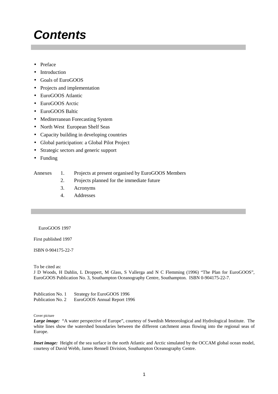### *Contents*

- Preface
- Introduction
- Goals of EuroGOOS
- Projects and implementation
- EuroGOOS Atlantic
- EuroGOOS Arctic
- EuroGOOS Baltic
- Mediterranean Forecasting System
- North West European Shelf Seas
- Capacity building in developing countries
- Global participation: a Global Pilot Project
- Strategic sectors and generic support
- Funding

#### Annexes 1. Projects at present organised by EuroGOOS Members

- 2. Projects planned for the immediate future
- 3. Acronyms
- 4. Addresses

EuroGOOS 1997

First published 1997

ISBN 0-904175-22-7

To be cited as:

J D Woods, H Dahlin, L Droppert, M Glass, S Vallerga and N C Flemming (1996) "The Plan for EuroGOOS", EuroGOOS Publication No. 3, Southampton Oceanography Centre, Southampton. ISBN 0-904175-22-7.

| Publication No. 1 | Strategy for EuroGOOS 1996  |
|-------------------|-----------------------------|
| Publication No. 2 | EuroGOOS Annual Report 1996 |

#### Cover picture

*Large image:* "A water perspective of Europe", courtesy of Swedish Meteorological and Hydrological Institute. The white lines show the watershed boundaries between the different catchment areas flowing into the regional seas of Europe.

*Inset image:* Height of the sea surface in the north Atlantic and Arctic simulated by the OCCAM global ocean model, courtesy of David Webb, James Rennell Division, Southampton Oceanography Centre.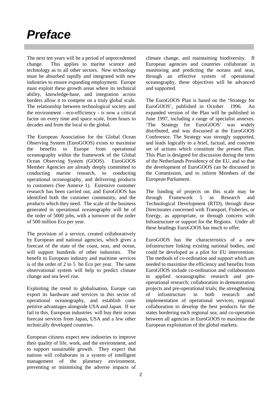### *Preface*

The next ten years will be a period of unprecedented change. This applies to marine science and technology as to all other sectors. New technology must be absorbed rapidly and integrated with new industries to ensure expanding employment. Europe must exploit these growth areas where its technical ability, knowledge-base, and integration across borders allow it to compete on a truly global scale. The relationship between technological society and the environment - eco-efficiency - is now a critical factor on every time and space scale, from hours to decades and from the local to the global.

The European Association for the Global Ocean Observing System (EuroGOOS) exists to maximise the benefits to Europe from operational oceanography within the framework of the Global Ocean Observing System (GOOS). EuroGOOS Member Agencies are already deeply committed to conducting marine research, to conducting operational oceanography, and delivering products to customers (See Annexe 1). Extensive customer research has been carried out, and EuroGOOS has identified both the customer community, and the products which they need. The scale of the business generated in operational oceanography will be of the order of 5000 jobs, with a turnover of the order of 500 million Ecu per year.

The provision of a service, created collaboratively by European and national agencies, which gives a forecast of the state of the coast, seas, and ocean, will support hundreds of other industries. The benefit to European industry and maritime services is of the order of 2 to 5 bn Ecu per year. The same observational system will help to predict climate change and sea level rise.

Exploiting the trend to globalisation, Europe can export its hardware and services in this sector of operational oceanography, and establish competitive advantages alongside USA and Japan. If we fail in this, European industries will buy their ocean forecast services from Japan, USA and a few other technically developed countries.

European citizens expect new industries to improve their quality of life, work, and the environment, and to support sustainable growth. They expect that nations will collaborate in a system of intelligent management of the planetary environment, preventing or minimising the adverse impacts of

climate change, and maintaining biodiversity. If European agencies and countries collaborate in monitoring and predicting the oceans and seas, through an effective system of operational oceanography, these objectives will be advanced and supported.

The EuroGOOS Plan is based on the 'Strategy for EuroGOOS', published in October 1996. An expanded version of the Plan will be published in June 1997, including a range of specialist annexes. 'The Strategy for EuroGOOS' was widely distributed, and was discussed at the EuroGOOS Conference. The Strategy was strongly supported, and leads logically to a brief, factual, and concrete set of actions which constitute the present Plan. This Plan is designed for discussion during the term of the Netherlands Presidency of the EU, and so that the development of EuroGOOS can be discussed in the Commission, and to inform Members of the European Parliament.

The funding of projects on this scale may be through Framework 5 as Research and Technological Development (RTD), through those Directorates concerned with Transport, Fisheries, or Energy, as appropriate, or through concern with Infrastructure or support for the Regions. Under all these headings EuroGOOS has much to offer.

EuroGOOS has the characteristics of a new infrastructure linking existing national bodies, and could be developed as a pilot for EU intervention. The methods of co-ordination and support which are needed to maximise the efficiency and benefits from EuroGOOS include co-ordination and collaboration in applied oceanographic research and preoperational research; collaboration in demonstration projects and pre-operational trials; the strengthening of infrastructure in both research and implementation of operational services; regional collaboration to develop the best products for the states bordering each regional sea; and co-operation between all agencies in EuroGOOS to maximise the European exploitation of the global markets.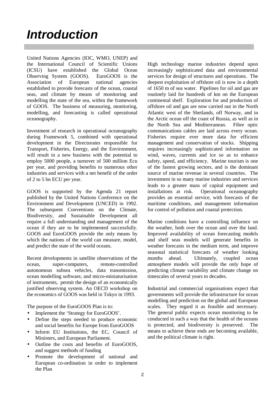### *Introduction*

United Nations Agencies (IOC, WMO, UNEP) and the International Council of Scientific Unions (ICSU) have established the Global Ocean Observing System (GOOS). EuroGOOS is the Association of European national agencies established to provide forecasts of the ocean, coastal seas, and climate by means of monitoring and modelling the state of the sea, within the framework of GOOS. The business of measuring, monitoring, modelling, and forecasting is called operational oceanography.

Investment of research in operational oceanography during Framework 5, combined with operational development in the Directorates responsible for Transport, Fisheries, Energy, and the Environment, will result in a new business with the potential to employ 5000 people, a turnover of 500 million Ecu per year, and providing benefits to numerous other industries and services with a net benefit of the order of 2 to 5 bn ECU per year.

GOOS is supported by the Agenda 21 report published by the United Nations Conference on the Environment and Development (UNCED) in 1992. The subsequent Conventions on the Climate, Biodiversity, and Sustainable Development all require a full understanding and management of the ocean if they are to be implemented successfully. GOOS and EuroGOOS provide the only means by which the nations of the world can measure, model, and predict the state of the world oceans.

Recent developments in satellite observations of the ocean, super-computers, remote-controlled autonomous subsea vehicles, data transmission, ocean modelling software, and micro-miniaturisation of instruments, permit the design of an economically justified observing system. An OECD workshop on the economics of GOOS was held in Tokyo in 1993.

The purpose of the EuroGOOS Plan is to:

- Implement the 'Strategy for EuroGOOS'.
- Define the steps needed to produce economic and social benefits for Europe from EuroGOOS
- Inform EU Institutions, the EC, Council of Ministers, and European Parliament.
- Outline the costs and benefits of EuroGOOS, and suggest methods of funding
- Promote the development of national and European co-ordination in order to implement the Plan

High technology marine industries depend upon increasingly sophisticated data and environmental services for design of structures and operations. The deepest exploitation of offshore oil is now in a depth of 1650 m of sea water. Pipelines for oil and gas are routinely laid for hundreds of km on the European continental shelf. Exploration for and production of offshore oil and gas are now carried out in the North Atlantic west of the Shetlands, off Norway, and in the Arctic ocean off the coast of Russia, as well as in the North Sea and Mediterranean. Fibre optic communications cables are laid across every ocean. Fisheries require ever more data for efficient management and conservation of stocks. Shipping requires increasingly sophisticated information on wind, waves, currents and ice so as to enhance safety, speed, and efficiency. Marine tourism is one of the fastest growing sectors, and is the dominant source of marine revenue in several countries. The investment in so many marine industries and services leads to a greater mass of capital equipment and installations at risk. Operational oceanography provides an essential service, with forecasts of the maritime conditions, and management information for control of pollution and coastal protection.

Marine conditions have a controlling influence on the weather, both over the ocean and over the land. Improved availability of ocean forecasting models and shelf seas models will generate benefits in weather forecasts in the medium term, and improve seasonal statistical forecasts of weather looking months ahead. Ultimately, coupled ocean atmosphere models will provide the only hope of predicting climate variability and climate change on timescales of several years to decades.

Industrial and commercial organisations expect that governments will provide the infrastructure for ocean modelling and prediction on the global and European scales. They regard it as feasible and necessary. The general public expects ocean monitoring to be conducted in such a way that the health of the oceans is protected, and biodiversity is preserved. The means to achieve these ends are becoming available, and the political climate is right.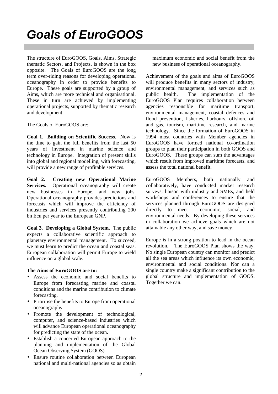The structure of EuroGOOS, Goals, Aims, Strategic thematic Sectors, and Projects, is shown in the box opposite. The Goals of EuroGOOS are the long term over-riding reasons for developing operational oceanography in order to provide benefits to Europe. These goals are supported by a group of Aims, which are more technical and organisational. These in turn are achieved by implementing operational projects, supported by thematic research and development.

The Goals of EuroGOOS are:

**Goal 1. Building on Scientific Success**. Now is the time to gain the full benefits from the last 50 years of investment in marine science and technology in Europe. Integration of present skills into global and regional modelling, with forecasting, will provide a new range of profitable services.

**Goal 2. Creating new Operational Marine Services.** Operational oceanography will create new businesses in Europe, and new jobs. Operational oceanography provides predictions and forecasts which will improve the efficiency of industries and services presently contributing 200 bn Ecu per year to the European GNP.

**Goal 3. Developing a Global System.** The public expects a collaborative scientific approach to planetary environmental management. To succeed, we must learn to predict the ocean and coastal seas. European collaboration will permit Europe to wield influence on a global scale.

#### **The Aims of EuroGOOS are to:**

- Assess the economic and social benefits to Europe from forecasting marine and coastal conditions and the marine contribution to climate forecasting.
- Prioritise the benefits to Europe from operational oceanography
- Promote the development of technological, computer, and science-based industries which will advance European operational oceanography for predicting the state of the ocean.
- Establish a concerted European approach to the planning and implementation of the Global Ocean Observing System (GOOS)
- Ensure routine collaboration between European national and multi-national agencies so as obtain

maximum economic and social benefit from the new business of operational oceanography.

Achievement of the goals and aims of EuroGOOS will produce benefits in many sectors of industry, environmental management, and services such as public health. The implementation of the EuroGOOS Plan requires collaboration between agencies responsible for maritime transport, environmental management, coastal defences and flood prevention, fisheries, harbours, offshore oil and gas, tourism, maritime research, and marine technology. Since the formation of EuroGOOS in 1994 most countries with Member agencies in EuroGOOS have formed national co-ordination groups to plan their participation in both GOOS and EuroGOOS. These groups can sum the advantages which result from improved maritime forecasts, and assess the total national benefit.

EuroGOOS Members, both nationally and collaboratively, have conducted market research surveys, liaison with industry and SMEs, and held workshops and conferences to ensure that the services planned through EuroGOOS are designed directly to meet economic, social, and environmental needs. By developing these services in collaboration we achieve goals which are not attainable any other way, and save money.

Europe is in a strong position to lead in the ocean revolution. The EuroGOOS Plan shows the way. No single European country can monitor and predict all the sea areas which influence its own economic, environmental and social conditions. Nor can a single country make a significant contribution to the global structure and implementation of GOOS. Together we can.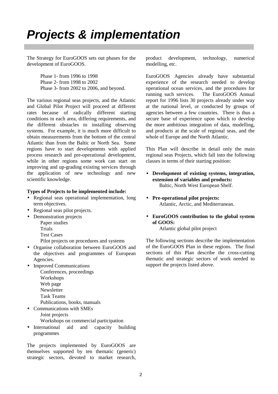### *Projects & implementation*

The Strategy for EuroGOOS sets out phases for the development of EuroGOOS.

> Phase 1- from 1996 to 1998 Phase 2- from 1998 to 2002 Phase 3- from 2002 to 2006, and beyond.

The various regional seas projects, and the Atlantic and Global Pilot Project will proceed at different rates because of radically different starting conditions in each area, differing requirements, and the different obstacles to installing observing systems. For example, it is much more difficult to obtain measurements from the bottom of the central Atlantic than from the Baltic or North Sea. Some regions have to start developments with applied process research and pre-operational development, while in other regions some work can start on improving and up-grading existing services through the application of new technology and new scientific knowledge.

#### **Types of Projects to be implemented include:**

- Regional seas operational implementation, long term objectives.
- Regional seas pilot projects.
- Demonstration projects
	- Paper studies
	- Trials
	- Test Cases

Pilot projects on procedures and systems

- Organise collaboration between EuroGOOS and the objectives and programmes of European Agencies.
- Improved Communications
	- Conferences, proceedings Workshops Web page **Newsletter** Task Teams Publications, books, manuals
- Communications with SMEs

Joint projects Workshops on commercial participation

• International aid and capacity building programmes

The projects implemented by EuroGOOS are themselves supported by ten thematic (generic) strategic sectors, devoted to market research, product development, technology, numerical modelling, etc.

EuroGOOS Agencies already have substantial experience of the research needed to develop operational ocean services, and the procedures for running such services. The EuroGOOS Annual report for 1996 lists 30 projects already under way at the national level, or conducted by groups of agencies between a few countries. There is thus a secure base of experience upon which to develop the more ambitious integration of data, modelling, and products at the scale of regional seas, and the whole of Europe and the North Atlantic.

This Plan will describe in detail only the main regional seas Projects, which fall into the following classes in terms of their starting position:

- **Development of existing systems, integration, extension of variables and products:** Baltic, North West European Shelf.
- **Pre-operational pilot projects:** Atlantic, Arctic, and Mediterranean.
- **EuroGOOS contribution to the global system of GOOS:**

Atlantic global pilot project

The following sections describe the implementation of the EuroGOOS Plan in these regions. The final sections of this Plan describe the cross-cutting thematic and strategic sectors of work needed to support the projects listed above.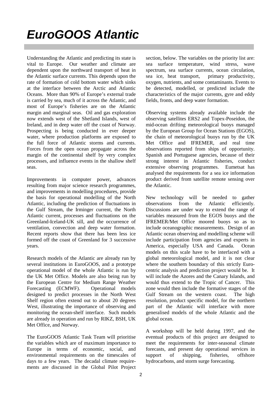## *EuroGOOS Atlantic*

Understanding the Atlantic and predicting its state is vital to Europe. Our weather and climate are dependent upon the northward transport of heat in the Atlantic surface currents. This depends upon the rate of formation of cold bottom water which sinks at the interface between the Arctic and Atlantic Oceans. More than 90% of Europe's external trade is carried by sea, much of it across the Atlantic, and most of Europe's fisheries are on the Atlantic margin and marginal seas. Oil and gas exploration now extends west of the Shetland Islands, west of Ireland, and in deep water off the coast of Norway. Prospecting is being conducted in ever deeper water, where production platforms are exposed to the full force of Atlantic storms and currents. Forces from the open ocean propagate across the margin of the continental shelf by very complex processes, and influence events in the shallow shelf seas.

Improvements in computer power, advances resulting from major science research programmes, and improvements in modelling procedures, provide the basis for operational modelling of the North Atlantic, including the prediction of fluctuations in the Gulf Stream, the Irminger current, the North Atlantic current, processes and fluctuations on the Greenland-Iceland-UK sill, and the occurrence of ventilation, convection and deep water formation. Recent reports show that there has been less ice formed off the coast of Greenland for 3 successive years.

Research models of the Atlantic are already run by several institutions in EuroGOOS, and a prototype operational model of the whole Atlantic is run by the UK Met Office. Models are also being run by the European Centre for Medium Range Weather Forecasting (ECMWF). Operational models designed to predict processes in the North West Shelf region often extend out to about 20 degrees West, illustrating the importance of observing and monitoring the ocean-shelf interface. Such models are already in operation and run by RIKZ, BSH, UK Met Office, and Norway.

The EuroGOOS Atlantic Task Team will prioritise the variables which are of maximum importance to Europe in terms of economic, social, and environmental requirements on the timescales of days to a few years. The decadal climate requirements are discussed in the Global Pilot Project

section, below. The variables on the priority list are: sea surface temperature, wind stress, wave spectrum, sea surface currents, ocean circulation, sea ice, heat transport, primary productivity, oxygen, nutrients, and some contaminants. Events to be detected, modelled, or predicted include the characteristics of the major currents, gyre and eddy fields, fronts, and deep water formation.

Observing systems already available include the observing satellites ERS2 and Topex-Poseidon, the mid-ocean drifting meteorological buoys managed by the European Group for Ocean Stations (EGOS), the chain of meteorological buoys run by the UK Met Office and IFREMER, and real time observations reported from ships of opportunity. Spanish and Portuguese agencies, because of their strong interest in Atlantic fisheries, conduct extensive observing programmes. Eumetsat has analysed the requirements for a sea ice information product derived from satellite remote sensing over the Atlantic.

New technology will be needed to gather observations from the Atlantic efficiently. Discussions are under way to extend the range of variables measured from the EGOS buoys and the IFREMER/Met Office moored buoys so as to include oceanographic measurements. Design of an Atlantic ocean observing and modelling scheme will include participation from agencies and experts in America, especially USA and Canada. Ocean models on this scale have to be interfaced with a global meteorological model, and it is not clear where the southern boundary of this strictly Eurocentric analysis and prediction project would be. It will include the Azores and the Canary Islands, and would thus extend to the Tropic of Cancer. This zone would then include the formative stages of the Gulf Stream on the western coast. The high resolution, product specific model, for the northern part of the Atlantic will interface with more generalised models of the whole Atlantic and the global ocean.

A workshop will be held during 1997, and the eventual products of this project are designed to meet the requirements for inter-seasonal climate forecasts, and present day operational services in support of shipping, fisheries, offshore hydrocarbons, and storm surge forecasting.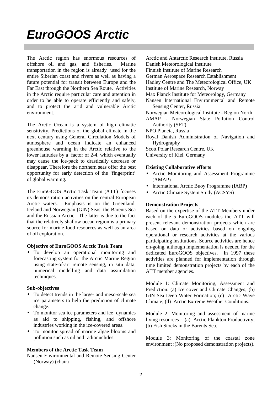### *EuroGOOS Arctic*

The Arctic region has enormous resources of offshore oil and gas, and fisheries. Marine transportation in the region is already used for the entire Siberian coast and rivers as well as having a future potential for transit between Europe and the Far East through the Northern Sea Route. Activities in the Arctic require particular care and attention in order to be able to operate efficiently and safely, and to protect the arid and vulnerable Arctic environment.

The Arctic Ocean is a system of high climatic sensitivity. Predictions of the global climate in the next century using General Circulation Models of atmosphere and ocean indicate an enhanced greenhouse warming in the Arctic relative to the lower latitudes by a factor of 2-4, which eventually may cause the ice-pack to drastically decrease or disappear. Therefore the northern seas offer the best opportunity for early detection of the 'fingerprint' of global warming.

The EuroGOOS Arctic Task Team (ATT) focuses its demonstration activities on the central European Arctic waters. Emphasis is on the Greenland, Iceland and Norwegian (GIN) Seas, the Barents Sea and the Russian Arctic. The latter is due to the fact that the relatively shallow ocean region is a primary source for marine food resources as well as an area of oil exploration.

#### **Objective of EuroGOOS Arctic Task Team**

• To develop an operational monitoring and forecasting system for the Arctic Marine Region using state-of-art remote sensing, in situ data, numerical modelling and data assimilation techniques.

#### **Sub-objectives**

- To detect trends in the large- and meso-scale sea ice parameters to help the prediction of climate change.
- To monitor sea ice parameters and ice dynamics as aid to shipping, fishing, and offshore industries working in the ice-covered areas.
- To monitor spread of marine algae blooms and pollution such as oil and radionuclides.

#### **Members of the Arctic Task Team**

Nansen Environmental and Remote Sensing Center (Norway) (chair)

Arctic and Antarctic Research Institute, Russia

- Danish Meteorological Institute
- Finnish Institute of Marine Research
- German Aerospace Research Establishment
- Hadley Centre and The Meteorological Office, UK

Institute of Marine Research, Norway

- Max Planck Institute for Meteorology, Germany
- Nansen International Environmental and Remote Sensing Center, Russia
- Norwegian Meteorological Institute Region North

AMAP - Norwegian State Pollution Control Authority (SFT)

- NPO Planeta, Russia
- Royal Danish Administration of Navigation and Hydrography
- Scott Polar Research Centre, UK

University of Kiel, Germany

#### **Existing Collaborative efforts**

- Arctic Monitoring and Assessment Programme (AMAP)
- International Arctic Buoy Programme (IABP)
- Arctic Climate System Study (ACSYS)

#### **Demonstration Projects**

Based on the expertise of the ATT Members under each of the 5 EuroGOOS modules the ATT will present relevant demonstration projects which are based on data or activities based on ongoing operational or research activities at the various participating institutions. Source activities are hence on-going, although implementation is needed for the dedicated EuroGOOS objectives. In 1997 these activities are planned for implementation through time limited demonstration projects by each of the ATT member agencies.

Module 1: Climate Monitoring, Assessment and Prediction: (a) Ice cover and Climate Changes; (b) GIN Sea Deep Water Formation; (c) Arctic Wave Climate; (d) Arctic Extreme Weather Conditions.

Module 2: Monitoring and assessment of marine living resources : (a) Arctic Plankton Productivity; (b) Fish Stocks in the Barents Sea.

Module 3: Monitoring of the coastal zone environment :(No proposed demonstration projects).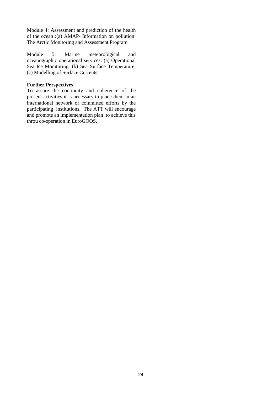Module 4: Assessment and prediction of the health of the ocean :(a) AMAP- Information on pollution: The Arctic Monitoring and Assessment Program.

Module 5: Marine meteorological and oceanographic operational services: (a) Operational Sea Ice Monitoring; (b) Sea Surface Temperature; (c) Modelling of Surface Currents.

#### **Further Perspectives**

To assure the continuity and coherence of the present activities it is necessary to place them in an international network of committed efforts by the participating institutions. The ATT will encourage and promote an implementation plan to achieve this throu co-operation in EuroGOOS.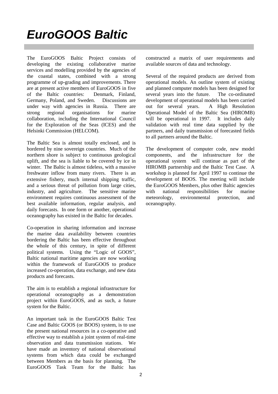### *EuroGOOS Baltic*

The EuroGOOS Baltic Project consists of developing the existing collaborative marine services and modelling provided by the agencies of the coastal states, combined with a strong programme of up-grading and improvements. There are at present active members of EuroGOOS in five of the Baltic countries: Denmark, Finland, Germany, Poland, and Sweden. Discussions are under way with agencies in Russia. There are strong regional organisations for marine collaboration, including the International Council for the Exploration of the Seas (ICES) and the Helsinki Commission (HELCOM).

The Baltic Sea is almost totally enclosed, and is bordered by nine sovereign countries. Much of the northern shore is subject to continuous geological uplift, and the sea is liable to be covered by ice in winter. The Baltic is almost tideless, with a massive freshwater inflow from many rivers. There is an extensive fishery, much internal shipping traffic, and a serious threat of pollution from large cities, industry, and agriculture. The sensitive marine environment requires continuous assessment of the best available information, regular analysis, and daily forecasts. In one form or another, operational oceanography has existed in the Baltic for decades.

Co-operation in sharing information and increase the marine data availability between countries bordering the Baltic has been effective throughout the whole of this century, in spite of different political systems. Using the "Logic of GOOS", Baltic national maritime agencies are now working within the framework of EuroGOOS to produce increased co-operation, data exchange, and new data products and forecasts.

The aim is to establish a regional infrastructure for operational oceanography as a demonstration project within EuroGOOS, and as such, a future system for the Baltic.

An important task in the EuroGOOS Baltic Test Case and Baltic GOOS (or BOOS) system, is to use the present national resources in a co-operative and effective way to establish a joint system of real-time observation and data transmission stations. We have made an inventory of national observational systems from which data could be exchanged between Members as the basis for planning. The EuroGOOS Task Team for the Baltic has

constructed a matrix of user requirements and available sources of data and technology.

Several of the required products are derived from operational models. An outline system of existing and planned computer models has been designed for several years into the future. The co-ordinated development of operational models has been carried out for several years. A High Resolution Operational Model of the Baltic Sea (HIROMB) will be operational in 1997. It includes daily validation with real time data supplied by the partners, and daily transmission of forecasted fields to all partners around the Baltic.

The development of computer code, new model components, and the infrastructure for the operational system will continue as part of the HIROMB partnership and the Baltic Test Case. A workshop is planned for April 1997 to continue the development of BOOS. The meeting will include the EuroGOOS Members, plus other Baltic agencies with national responsibilities for marine meteorology, environmental protection, and oceanography.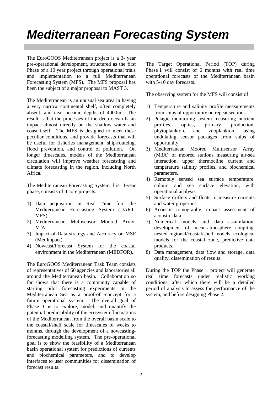### *Mediterranean Forecasting System*

The EuroGOOS Mediterranean project is a 3- year pre-operational development, structured as the first Phase of a 10 year project through operational trials and implementation to a full Mediterranean Forecasting System (MFS). The MFS proposal has been the subject of a major proposal to MAST 3.

The Mediterranean is an unusual sea area in having a very narrow continental shelf, often completely absent, and near oceanic depths of 4000m. The result is that the processes of the deep ocean basin impact almost directly on the shallow water and coast itself. The MFS is designed to meet these peculiar conditions, and provide forecasts that will be useful for fisheries management, ship-routeing, flood prevention, and control of pollution. On longer timescales, models of the Mediterranean circulation will improve weather forecasting and climate forecasting in the region, including North Africa.

The Mediterranean Forecasting System, first 3-year phase, consists of 4 core projects:

- 1) Data acquisition in Real Time fore the Mediterranean Forecasting System (DART-MFS).
- 2) Mediterranean Multisensor Moored Array:  $M^3A$ .
- 3) Impact of Data strategy and Accuracy on MSF (MedImpact).
- 4) Nowcast/Forecast System for the coastal environment in the Mediterranean (MEDFOR).

The EuroGOOS Mediterranean Task Team consists of representatives of 60 agencies and laboratories all around the Mediterranean basin. Collaboration so far shows that there is a community capable of starting pilot forecasting experiments in the Mediterranean Sea as a proof-of -concept for a future operational system. The overall goal of Phase 1 is to explore, model, and quantify the potential predictability of the ecosystem fluctuations of the Mediterranean from the overall basin scale to the coastal/shelf scale for timescales of weeks to months, through the development of a nowcastingforecasting modelling system. The pre-operational goal is to show the feasibility of a Mediterranean basin operational system for predictions of currents and biochemical parameters, and to develop interfaces to user communities for dissemination of forecast results.

The Target Operational Period (TOP) during Phase 1 will consist of 6 months with real time operational forecasts of the Mediterranean basin with 5-10 day forecasts.

The observing system for the MFS will consist of:

- 1) Temperature and salinity profile measurements from ships of opportunity on repeat sections.
- 2) Pelagic monitoring system measuring nutrient profiles, optics, primary production, phytoplankton, and zooplankton, using undulating sensor packages from ships of opportunity.
- 3) Mediterranean Moored Multisensor Array (M3A) of moored stations measuring air-sea interaction, upper thermocline current and temperature salinity profiles, and biochemical parameters.
- 4) Remotely sensed sea surface temperature, colour, and sea surface elevation, with operational analysis.
- 5) Surface drifters and floats to measure currents and water properties.
- 6) Acoustic tomography, impact assessment of acoustic data.
- 7) Numerical models and data assimilation, development of ocean-atmosphere coupling, nested regional/coastal/shelf models, ecological models for the coastal zone, predictive data products.
- 8) Data management, data flow and storage, data quality, dissemination of results.

During the TOP the Phase 1 project will generate real time forecasts under realistic working conditions, after which there will be a detailed period of analysis to assess the performance of the system, and before designing Phase 2.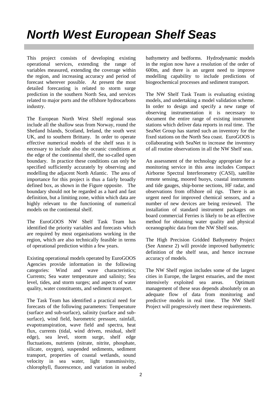### *North West European Shelf Seas*

This project consists of developing existing operational services, extending the range of variables measured, extending the coverage within the region, and increasing accuracy and period of forecast wherever possible. At present the most detailed forecasting is related to storm surge prediction in the southern North Sea, and services related to major ports and the offshore hydrocarbons industry.

The European North West Shelf regional seas include all the shallow seas from Norway, round the Shetland Islands, Scotland, Ireland, the south west UK, and to southern Brittany. In order to operate effective numerical models of the shelf seas it is necessary to include also the oceanic conditions at the edge of the continental shelf, the so-called open boundary. In practice these conditions can only be specified sufficiently accurately by observing and modelling the adjacent North Atlantic. The area of importance for this project is thus a fairly broadly defined box, as shown in the Figure opposite. The boundary should not be regarded as a hard and fast definition, but a limiting zone, within which data are highly relevant to the functioning of numerical models on the continental shelf.

The EuroGOOS NW Shelf Task Team has identified the priority variables and forecasts which are required by most organisations working in the region, which are also technically feasible in terms of operational prediction within a few years.

Existing operational models operated by EuroGOOS Agencies provide information in the following categories: Wind and wave characteristics; Currents; Sea water temperature and salinity; Sea level, tides, and storm surges; and aspects of water quality, water constituents, and sediment transport.

The Task Team has identified a practical need for forecasts of the following parameters: Temperature (surface and sub-surface), salinity (surface and subsurface), wind field, barometric pressure, rainfall, evapotranspiration, wave field and spectra, heat flux, currents (tidal, wind driven, residual, shelf edge), sea level, storm surge, shelf edge fluctuations, nutrients (nitrate, nitrite, phosphate, silicate, oxygen), suspended sediments, sediment transport, properties of coastal wetlands, sound velocity in sea water, light transmissivity, chlorophyll, fluorescence, and variation in seabed

bathymetry and bedforms. Hydrodynamic models in the region now have a resolution of the order of 600m, and there is an urgent need to improve modelling capability to include predictions of biogeochemical processes and sediment transport.

The NW Shelf Task Team is evaluating existing models, and undertaking a model validation scheme. In order to design and specify a new range of observing instrumentation it is necessary to document the entire range of existing instrument stations which deliver data reports in real time. The SeaNet Group has started such an inventory for the fixed stations on the North Sea coast. EuroGOOS is collaborating with SeaNet to increase the inventory of all routine observations in all the NW Shelf seas.

An assessment of the technology appropriate for a monitoring service in this area includes Compact Airborne Spectral Interferometry (CASI), satellite remote sensing, moored buoys, coastal instruments and tide gauges, ship-borne sections, HF radar, and observations from offshore oil rigs. There is an urgent need for improved chemical sensors, and a number of new devices are being reviewed. The installation of standard instrument packages on board commercial Ferries is likely to be an effective method for obtaining water quality and physical oceanographic data from the NW Shelf seas.

The High Precision Gridded Bathymetry Project (See Annexe 2) will provide improved bathymetric definition of the shelf seas, and hence increase accuracy of models.

The NW Shelf region includes some of the largest cities in Europe, the largest estuaries, and the most intensively exploited sea areas. Optimum management of these seas depends absolutely on an adequate flow of data from monitoring and predictive models in real time. The NW Shelf Project will progressively meet these requirements.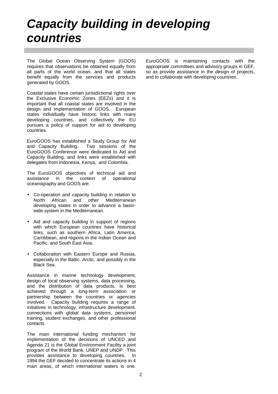### *Capacity building in developing countries*

The Global Ocean Observing System (GOOS) requires that observations be obtained equally from all parts of the world ocean, and that all states benefit equally from the services and products generated by GOOS.

Coastal states have certain jurisidictional rights over the Exclusive Economic Zones (EEZs) and it is important that all coastal states are involved in the design and implementation of GOOS. European states individually have historic links with many developing countries, and collectively the EU pursues a policy of support for aid to developing countries.

EuroGOOS has established a Study Group for Aid and Capacity Building. Two sessions of the EuroGOOS Conference were dedicated to Aid and Capacity Building, and links were established with delegates from Indonesia, Kenya, and Colombia.

The EuroGOOS objectives of technical aid and assistance in the context of operational oceanography and GOOS are:

- Co-operation and capacity building in relation to North African and other Mediterranean developing states in order to advance a basinwide system in the Mediterranean.
- Aid and capacity building in support of regions with which European countries have historical links, such as southern Africa, Latin America, Carribbean, and regions in the Indian Ocean and Pacific, and South East Asia.
- Collaboration with Eastern Europe and Russia, especially in the Baltic, Arctic, and possibly in the Black Sea.

Assistance in marine technology development, design of local observing systems, data processing, and the distribution of data products, is best achieved through a long-term association or partnership between the countries or agencies involved. Capacity building requires a range of initiatives in technology, infrastructure development, connections with global data systems, personnel training, student exchanges, and other professional contacts.

The main international funding mechanism for implementation of the decisions of UNCED and Agenda 21 is the Global Environment Facility a joint program of the World Bank, UNEP and UNDP. This provides assistance to developing countries. In 1994 the GEF decided to concentrate its actions in 4 main areas, of which international waters is one.

EuroGOOS is maintaining contacts with the appropriate committees and advisory groups in GEF, so as provide assistance in the design of projects, and to collaborate with developing countries.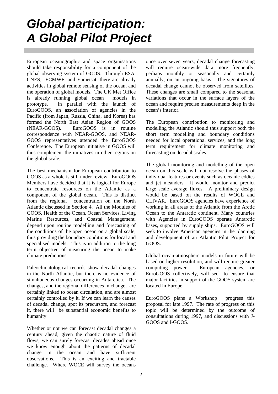### *Global participation: A Global Pilot Project*

European oceanographic and space organisations should take responsibility for a component of the global observing system of GOOS. Through ESA, CNES, ECMWF, and Eumetsat, there are already activities in global remote sensing of the ocean, and the operation of global models. The UK Met Office is already running global ocean models in prototype. In parallel with the launch of EuroGOOS, an association of agencies in the Pacific (from Japan, Russia, China, and Korea) has formed the North East Asian Region of GOOS (NEAR-GOOS). EuroGOOS is in routine correspondence with NEAR-GOOS, and NEAR-GOOS representatives attended the EuroGOOS Conference. The European initiative in GOOS will thus complement the initiatives in other regions on the global scale.

The best mechanism for European contribution to GOOS as a whole is still under review. EuroGOOS Members have decided that it is logical for Europe to concentrate resources on the Atlantic as a component of the global ocean. This is distinct from the regional concentration on the North Atlantic discussed in Section 4. All the Modules of GOOS, Health of the Ocean, Ocean Services, Living Marine Resources, and Coastal Management, depend upon routine modelling and forecasting of the conditions of the open ocean on a global scale, thus providing the boundary conditions for local and specialised models. This is in addition to the long term objective of measuring the ocean to make climate predictions.

Paleoclimatological records show decadal changes in the North Atlantic, but there is no evidence of simultaneous changes occurring in Antarctica. The changes, and the regional differences in change, are certainly linked to ocean circulation, and are almost certainly controlled by it. If we can learn the causes of decadal change, spot its precursors, and forecast it, there will be substantial economic benefits to humanity.

Whether or not we can forecast decadal changes a century ahead, given the chaotic nature of fluid flows, we can surely forecast decades ahead once we know enough about the patterns of decadal change in the ocean and have sufficient observations. This is an exciting and tractable challenge. Where WOCE will survey the oceans

once over seven years, decadal change forecasting will require ocean-wide data more frequently, perhaps monthly or seasonally and certainly annually, on an ongoing basis. The signatures of decadal change cannot be observed from satellites. These changes are small compared to the seasonal variations that occur in the surface layers of the ocean and require precise measurements deep in the ocean's interior.

The European contribution to monitoring and modelling the Atlantic should thus support both the short term modelling and boundary conditions needed for local operational services, and the long term requirement for climate monitoring and forecasting on decadal scales.

The global monitoring and modelling of the open ocean on this scale will not resolve the phases of individual features or events such as oceanic eddies and jet meanders. It would monitor and predict large scale average fluxes. A preliminary design would be based on the results of WOCE and CLIVAR. EuroGOOS agencies have experience of working in all areas of the Atlantic from the Arctic Ocean to the Antarctic continent. Many countries with Agencies in EuroGOOS operate Antarctic bases, supported by supply ships. EuroGOOS will seek to involve American agencies in the planning and development of an Atlantic Pilot Project for GOOS.

Global ocean-atmosphere models in future will be based on higher resolution, and will require greater computing power. European agencies, or EuroGOOS collectively, will seek to ensure that major facilities in support of the GOOS system are located in Europe.

EuroGOOS plans a Workshop progress this proposal for late 1997. The rate of progress on this topic will be determined by the outcome of consultations during 1997, and discussions with J-GOOS and I-GOOS.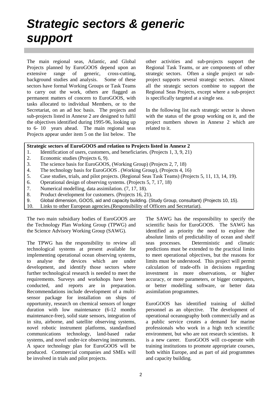### *Strategic sectors & generic support*

The main regional seas, Atlantic, and Global Projects planned by EuroGOOS depend upon an extensive range of generic, cross-cutting, background studies and analysis. Some of these sectors have formal Working Groups or Task Teams to carry out the work, others are flagged as permanent matters of concern to EuroGOOS, with tasks allocated to individual Members, or to the Secretariat, on an ad hoc basis. The projects and sub-projects listed in Annexe 2 are designed to fulfil the objectives identified during 1995-96, looking up to 6- 10 years ahead. The main regional seas Projects appear under item 5 on the list below. The other activities and sub-projects support the Regional Task Teams, or are components of other strategic sectors. Often a single project or subproject supports several strategic sectors. Almost all the strategic sectors combine to support the Regional Seas Projects, except where a sub-project is specifically targeted at a single sea.

In the following list each strategic sector is shown with the status of the group working on it, and the project numbers shown in Annexe 2 which are related to it.

#### **Strategic sectors of EuroGOOS and relation to Projects listed in Annexe 2**

- 1. Identification of users, customers, and beneficiaries. (Projects 1, 3, 9, 21)
- 2. Economic studies (Projects 6, 9).
- 3. The science basis for EuroGOOS, (Working Group) (Projects 2, 7, 18)
- 4. The technology basis for EuroGOOS . (Working Group), (Projects 4, 16)
- 5. Case studies, trials, and pilot projects. (Regional Seas Task Teams) (Projects 5, 11, 13, 14, 19).
- 6. Operational design of observing systems. (Projects 5, 7, 17, 18)
- 7. Numerical modelling, data assimilation. (7, 17, 18).
- 8. Product development for customers. (Projects 16, 21).
- 9. Global dimension, GOOS, aid and capacity building. (Study Group, consultant) (Projects 10, 15).
- 10. Links to other European agencies.(Responsibility of Officers and Secretariat).

The two main subsidiary bodies of EuroGOOS are the Technology Plan Working Group (TPWG) and the Science Advisory Working Group (SAWG).

The TPWG has the responsibility to review all technological systems at present available for implementing operational ocean observing systems, to analyse the devices which are under development, and identify those sectors where further technological research is needed to meet the requirements. Surveys and workshops have been conducted, and reports are in preparation. Recommendations include development of a multisensor package for installation on ships of opportunity, research on chemical sensors of longer duration with low maintenance (6-12 months maintenance-free), solid state sensors, integration of in situ, airborne, and satellite observing systems, novel robotic instrument platforms, standardised communications technology, land-based radar systems, and novel under-ice observing instruments. A space technology plan for EuroGOOS will be produced. Commercial companies and SMEs will be involved in trials and pilot projects.

The SAWG has the responsibility to specify the scientific basis for EuroGOOS. The SAWG has identified as priority the need to explore the absolute limits of predictability of ocean and shelf seas processes. Deterministic and climatic predictions must be extended to the practical limits to meet operational objectives, but the reasons for limits must be understood. This project will permit calculation of trade-offs in decisions regarding investment in more observations, or higher accuracy, or more parameters, or bigger computers, or better modelling software, or better data assimilation programmes.

EuroGOOS has identified training of skilled personnel as an objective. The development of operational oceanography both commercially and as a public service creates a demand for marine professionals who work in a high tech scientific environment, but who are not research scientists. It is a new career. EuroGOOS will co-operate with training institutions to promote appropriate courses, both within Europe, and as part of aid programmes and capacity building.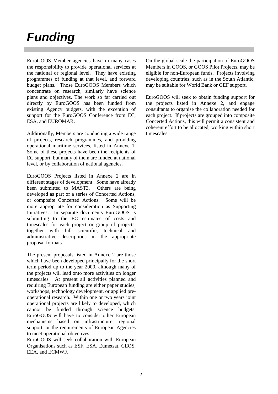### *Funding*

EuroGOOS Member agencies have in many cases the responsibility to provide operational services at the national or regional level. They have existing programmes of funding at that level, and forward budget plans. Those EuroGOOS Members which concentrate on research, similarly have science plans and objectives. The work so far carried out directly by EuroGOOS has been funded from existing Agency budgets, with the exception of support for the EuroGOOS Conference from EC, ESA, and EUROMAR.

Additionally, Members are conducting a wide range of projects, research programmes, and providing operational maritime services, listed in Annexe 1. Some of these projects have been the recipients of EC support, but many of them are funded at national level, or by collaboration of national agencies.

EuroGOOS Projects listed in Annexe 2 are in different stages of development. Some have already been submitted to MAST3. Others are being developed as part of a series of Concerted Actions, or composite Concerted Actions. Some will be more appropriate for consideration as Supporting Initiatives. In separate documents EuroGOOS is submitting to the EC estimates of costs and timescales for each project or group of projects, together with full scientific, technical and administrative descriptions in the appropriate proposal formats.

The present proposals listed in Annexe 2 are those which have been developed principally for the short term period up to the year 2000, although many of the projects will lead onto more activities on longer timescales. At present all activities planned and requiring European funding are either paper studies, workshops, technology development, or applied preoperational research. Within one or two years joint operational projects are likely to developed, which cannot be funded through science budgets. EuroGOOS will have to consider other European mechanisms based on infrastructure, regional support, or the requirements of European Agencies to meet operational objectives.

EuroGOOS will seek collaboration with European Organisations such as ESF, ESA, Eumetsat, CEOS, EEA, and ECMWF.

On the global scale the participation of EuroGOOS Members in GOOS, or GOOS Pilot Projects, may be eligible for non-European funds. Projects involving developing countries, such as in the South Atlantic, may be suitable for World Bank or GEF support.

EuroGOOS will seek to obtain funding support for the projects listed in Annexe 2, and engage consultants to organise the collaboration needed for each project. If projects are grouped into composite Concerted Actions, this will permit a consistent and coherent effort to be allocated, working within short timescales.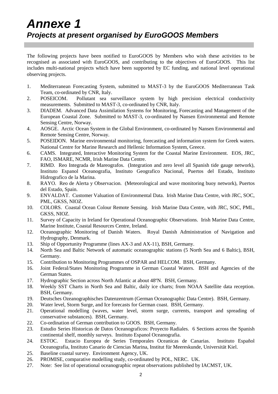The following projects have been notified to EuroGOOS by Members who wish these activities to be recognised as associated with EuroGOOS, and contributing to the objectives of EuroGOOS. This list includes multi-national projects which have been supported by EC funding, and national level operational observing projects.

- 1. Mediterranean Forecasting System, submitted to MAST-3 by the EuroGOOS Mediterranean Task Team, co-ordinated by CNR, Italy.
- 2. POSEICOM. Pollutant sea surveillance system by high precision electrical conductivity measurements. Submitted to MAST-3, co-ordinated by CNR, Italy.
- 3. DIADEM. Advanced Data Assimilation Systems for Monitoring, Forecasting and Management of the European Coastal Zone. Submitted to MAST-3, co-ordinated by Nansen Environmental and Remote Sensing Centre, Norway.
- 4. AOSGE. Arctic Ocean System in the Global Environment, co-ordinated by Nansen Environmental and Remote Sensing Centre, Norway.
- 5. POSEIDON. Marine environmental monitoring, forecasting and information system for Greek waters. National Centre for Marine Research and Hellenic Information System, Greece.
- 6. CAMS. Integrated, Interactive Monitoring System for the Coastal Marine Environment. EOS, JRC, FAO, ISMARE, NCMR, Irish Marine Data Centre.
- 7. RIMD. Reo Integrada de Mareografos. (Integration and zero level all Spanish tide gauge network), Instituto Espanol Oceanografia, Instituto Geografico Nacional, Puertos del Estado, Instituto Hidrografico de la Marina.
- 8. RAYO. Reo de Alerta y Observacion. (Meteorological and wave monitoring buoy network), Puertos del Estado, Spain.
- 9. ENVALDAT. Customer Valuation of Environmental Data. Irish Marine Data Centre, with JRC, SOC, PML, GKSS, NIOZ.
- 10. COLORS. Coastal Ocean Colour Remote Sensing. Irish Marine Data Centre, with JRC, SOC, PML, GKSS, NIOZ.
- 11. Survey of Capacity in Ireland for Operational Oceanographic Observations. Irish Marine Data Centre, Marine Institute, Coastal Resources Centre, Ireland.
- 12. Oceanographic Monitoring of Danish Waters. Royal Danish Administration of Navigation and Hydrography, Denmark.
- 13. Ship of Opportunity Programme (lines AX-3 and AX-11), BSH, Germany.
- 14. North Sea and Baltic Network of automatic oceanographic stations (5 North Sea and 6 Baltic), BSH, Germany.
- 15. Contribution to Monitoring Programmes of OSPAR and HELCOM. BSH, Germany.
- 16. Joint Federal/States Monitoring Programme in German Coastal Waters. BSH and Agencies of the German States.
- 17. Hydrographic Section across North Atlantic at about 48ºN. BSH, Germany.
- 18. Weekly SST Charts in North Sea and Baltic, daily ice charts; from NOAA Satellite data reception. BSH, Germany.
- 19. Deutsches Ozeanographisches Datenzentrum (German Oceanographic Data Centre). BSH, Germany.
- 20. Water level, Storm Surge, and Ice forecasts for German coast. BSH, Germany.
- 21. Operational modelling (waves, water level, storm surge, currents, transport and spreading of conservative substances). BSH, Germany.
- 22. Co-ordination of German contribution to GOOS. BSH, Germany.
- 23. Estudio Series Historicas de Datos Oceanograficos: Proyecto Radiales. 6 Sections across the Spanish continental shelf, monthly surveys. Instituto Espanol Oceanografia.
- 24. ESTOC. Estacio Europea de Series Temporales Oceanicas de Canarias. Instituto Español Oceanografia, Instituto Canario de Ciencias Marina, Institut für Meereskunde, Universität Kiel.
- 25. Baseline coastal survey. Environment Agency, UK.
- 26. PROMISE, comparative modelling study, co-ordinated by POL, NERC. UK.
- 27. Note: See list of operational oceanographic repeat observations published by IACMST, UK.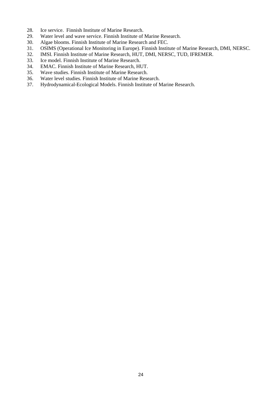- 28. Ice service. Finnish Institute of Marine Research.
- 29. Water level and wave service. Finnish Institute of Marine Research.
- 30. Algae blooms. Finnish Institute of Marine Research and FEC.
- 31. OSIMS (Operational Ice Monitoring in Europe). Finnish Institute of Marine Research, DMI, NERSC.
- 32. IMSI. Finnish Institute of Marine Research, HUT, DMI, NERSC, TUD, IFREMER.
- 33. Ice model. Finnish Institute of Marine Research.
- 34. EMAC. Finnish Institute of Marine Research, HUT.
- 35. Wave studies. Finnish Institute of Marine Research.
- 36. Water level studies. Finnish Institute of Marine Research.
- 37. Hydrodynamical-Ecological Models. Finnish Institute of Marine Research.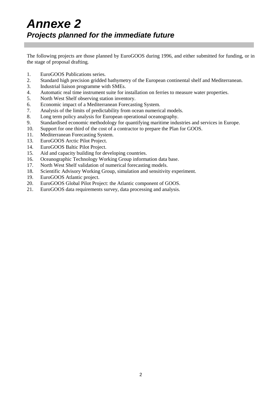The following projects are those planned by EuroGOOS during 1996, and either submitted for funding, or in the stage of proposal drafting.

- 1. EuroGOOS Publications series.
- 2. Standard high precision gridded bathymetry of the European continental shelf and Mediterranean.
- 3. Industrial liaison programme with SMEs.
- 4. Automatic real time instrument suite for installation on ferries to measure water properties.
- 5. North West Shelf observing station inventory.
- 6. Economic impact of a Mediterranean Forecasting System.
- 7. Analysis of the limits of predictability from ocean numerical models.
- 8. Long term policy analysis for European operational oceanography.
- 9. Standardised economic methodology for quantifying maritime industries and services in Europe.
- 10. Support for one third of the cost of a contractor to prepare the Plan for GOOS.
- 11. Mediterranean Forecasting System.
- 13. EuroGOOS Arctic Pilot Project.
- 14. EuroGOOS Baltic Pilot Project.
- 15. Aid and capacity building for developing countries.
- 16. Oceanographic Technology Working Group information data base.
- 17. North West Shelf validation of numerical forecasting models.
- 18. Scientific Advisory Working Group, simulation and sensitivity experiment.
- 19. EuroGOOS Atlantic project.
- 20. EuroGOOS Global Pilot Project: the Atlantic component of GOOS.
- 21. EuroGOOS data requirements survey, data processing and analysis.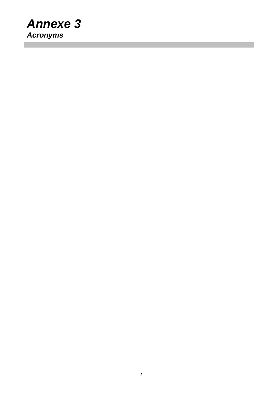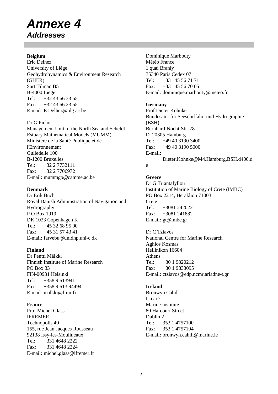### *Annexe 4 Addresses*

#### **Belgium**

Eric Delhez University of Liège Geohydrohynamics & Environment Research (GHER) Sart Tilman B5 B-4000 Liege Tel: +32 43 66 33 55 Fax: +32 43 66 23 55 E-mail: E.Delhez@ulg.ac.be

#### Dr G Pichot

Management Unit of the North Sea and Scheldt Estuary Mathematical Models (MUMM) Ministère de la Santé Publique et de l'Environnement Gulledelle 100 B-1200 Bruxelles Tel: +32 2 7732111 Fax: +32 2 7706972 E-mail: mummgp@camme.ac.be

#### **Denmark**

Dr Erik Buch Royal Danish Administration of Navigation and Hydrography P O Box 1919 DK 1023 Copenhagen K Tel: +45 32 68 95 00 Fax: +45 31 57 43 41 E-mail: farvebu@unidhp.uni-c.dk

### **Finland**

Dr Pentti Mälkki Finnish Institute of Marine Research PO Box 33 FIN-00931 Helsinki Tel:  $+3589613941$ Fax: +358 9 613 94494 E-mail: malkki@fimr.fi

### **France**

Prof Michel Glass IFREMER Technopolis 40 155, rue Jean Jacques Rousseau 92138 Issy-les-Moulineaux Tel: +331 4648 2222  $Fax: +331 4648 2224$ E-mail: michel.glass@ifremer.fr Dominique Marbouty Météo France 1 quai Branly 75340 Paris Cedex 07 Tel: +331 45 56 71 71 Fax:  $+331\,45\,56\,70\,05$ E-mail: dominique.marbouty@meteo.fr

#### **Germany**

Prof Dieter Kohnke Bundesamt für Seeschiffahrt und Hydrographie (BSH) Bernhard-Nocht-Str. 78 D. 20305 Hamburg Tel: +49 40 3190 3400 Fax: +49 40 3190 5000 E-mail: Dieter.Kohnke@M4.Hamburg.BSH.d400.d e

**Greece** Dr G Triantafyllou Institution of Marine Biology of Crete (IMBC) PO Box 2214, Heraklion 71003 Crete Tel: +3081 242022 Fax: +3081 241882 E-mail: gt@imbc.gr

#### Dr C Tziavos National Centre for Marine Research Aghios Kosmas Hellinikon 16604 Athens

Tel: +30 1 9820212 Fax: +30 1 9833095 E-mail: ctziavos@edp.ncmr.ariadne-t.gr

#### **Ireland**

Bronwyn Cahill Ismaré Marine Institute 80 Harcourt Street Dublin 2 Tel: 353 1 4757100 Fax: 353 1 4757104 E-mail: bronwyn.cahill@marine.ie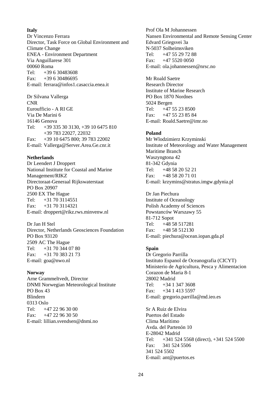#### **Italy**

Dr Vincenzo Ferrara Director, Task Force on Global Environment and Climate Change ENEA - Environment Department Via Anguillarese 301 00060 Roma Tel:  $+39630483608$ Fax: +39 6 30486695 E-mail: ferrara@infos1.casaccia.enea.it

Dr Silvana Vallerga CNR Euroufficio - A RI GE Via De Marini 6 16146 Genova Tel: +39 335 30 3130, +39 10 6475 810 +39 783 22027, 22032 Fax: +39 10 6475 800; 39 783 22002 E-mail: Vallerga@Server.Area.Ge.cnr.it

#### **Netherlands**

Dr Leendert J Droppert National Institute for Coastal and Marine Management/RIKZ Directoraat-Generaal Rijkswaterstaat PO Box 20907 2500 EX The Hague Tel: +31 70 3114551 Fax: +31 70 3114321 E-mail: droppert@rikz.rws.minvenw.nl

Dr Jan H Stel Director, Netherlands Geosciences Foundation PO Box 93120 2509 AC The Hague Tel: +31 70 344 07 80 Fax: +31 70 383 21 73 E-mail: goa@nwo.nl

#### **Norway**

Arne Grammeltvedt, Director DNMI Norwegian Meteorological Institute PO Box 43 Blindern 0313 Oslo Tel:  $+4722963000$ Fax:  $+4722963050$ E-mail: lillian.svendsen@dnmi.no

Prof Ola M Johannessen Nansen Environmental and Remote Sensing Center Edvard Griegsvei 3a N-5037 Solheimsviken Tel: +47 55 29 72 88 Fax:  $+47,5520,0050$ E-mail: ola.johannessen@nrsc.no

Mr Roald Saetre Research Director Institute of Marine Research PO Box 1870 Nordnes 5024 Bergen Tel:  $+47,55,23,8500$ Fax: +47 55 23 85 84 E-mail: Roald.Saetre@imr.no

#### **Poland**

Mr Wlodzimierz Krzyminski Institute of Meteorology and Water Management Maritime Branch Waszyngtona 42 81-342 Gdynia Tel: +48 58 20 52 21 Fax: +48 58 20 71 01 E-mail: krzymins@stratus.imgw.gdynia.pl

Dr Jan Piechura Institute of Oceanology Polish Academy of Sciences Powstanców Warszawy 55 81-712 Sopot Tel: +48 58 517281 Fax: +48 58 512130 E-mail: piechura@ocean.iopan.gda.pl

#### **Spain**

Dr Gregorio Parrilla Instituto Espanol de Oceanografia (CICYT) Ministerio de Agricultura, Pesca y Alimentacion Corazon de Maria 8-1 28002 Madrid Tel: +34 1 347 3608 Fax: +34 1 413 5597 E-mail: gregorio.parrilla@md.ieo.es

Sr A Ruiz de Elvira Puertos del Estado Clima Marítimo Avda. del Partenón 10 E-28042 Madrid Tel: +341 524 5568 (direct), +341 524 5500 Fax: 341 524 5506 341 524 5502 E-mail: ant@puertos.es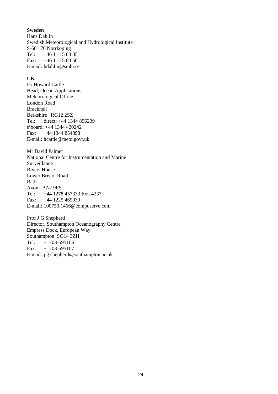#### **Sweden**

Hans Dahlin Swedish Meteorological and Hydrological Institute S-601 76 Norrköping Tel: +46 11 15 83 05 Fax:  $+46$  11 15 83 50 E-mail: hdahlin@smhi.se

#### **UK**

Dr Howard Cattle Head, Ocean Applications Meteorological Office London Road Bracknell Berkshire RG12 2SZ Tel: direct: +44 1344 856209 s'board: +44 1344 420242 Fax: +44 1344 854898 E-mail: hcattle@meto.govt.uk

Mr David Palmer National Centre for Instrumentation and Marine Surveillance Rivers House Lower Bristol Road Bath Avon BA2 9ES Tel: +44 1278 457333 Ext. 4237 Fax: +44 1225 469939 E-mail: 100750.1466@compuserve.com

Prof J G Shepherd Director, Southampton Oceanography Centre Empress Dock, European Way Southampton SO14 3ZH Tel: +1703-595106 Fax: +1703-595107 E-mail: j.g.shepherd@southampton.ac.uk